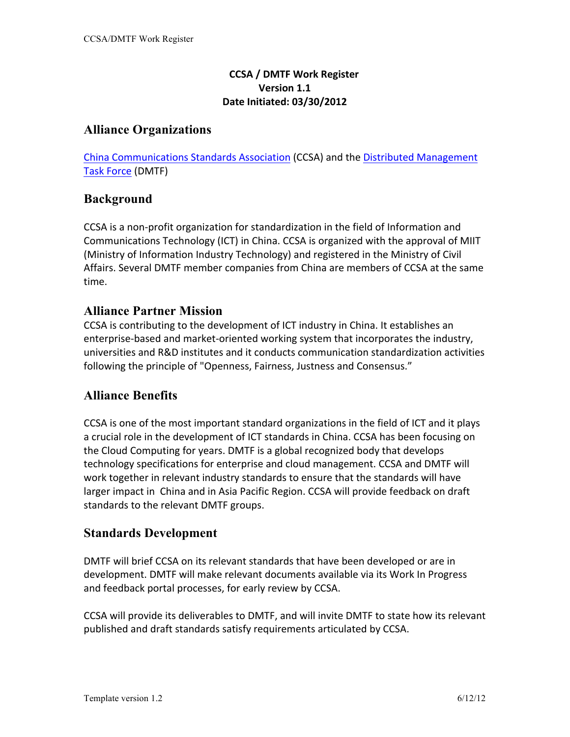#### **CCSA / DMTF Work Register Version 1.1 Date Initiated: 03/30/2012**

## **Alliance Organizations**

China Communications Standards Association (CCSA) and the Distributed Management Task Force (DMTF)

## **Background**

CCSA is a non-profit organization for standardization in the field of Information and Communications Technology (ICT) in China. CCSA is organized with the approval of MIIT (Ministry of Information Industry Technology) and registered in the Ministry of Civil Affairs. Several DMTF member companies from China are members of CCSA at the same time.

## **Alliance Partner Mission**

CCSA is contributing to the development of ICT industry in China. It establishes an enterprise-based and market-oriented working system that incorporates the industry, universities and R&D institutes and it conducts communication standardization activities following the principle of "Openness, Fairness, Justness and Consensus."

## **Alliance Benefits**

CCSA is one of the most important standard organizations in the field of ICT and it plays a crucial role in the development of ICT standards in China. CCSA has been focusing on the Cloud Computing for years. DMTF is a global recognized body that develops technology specifications for enterprise and cloud management. CCSA and DMTF will work together in relevant industry standards to ensure that the standards will have larger impact in China and in Asia Pacific Region. CCSA will provide feedback on draft standards to the relevant DMTF groups.

## **Standards Development**

DMTF will brief CCSA on its relevant standards that have been developed or are in development. DMTF will make relevant documents available via its Work In Progress and feedback portal processes, for early review by CCSA.

CCSA will provide its deliverables to DMTF, and will invite DMTF to state how its relevant published and draft standards satisfy requirements articulated by CCSA.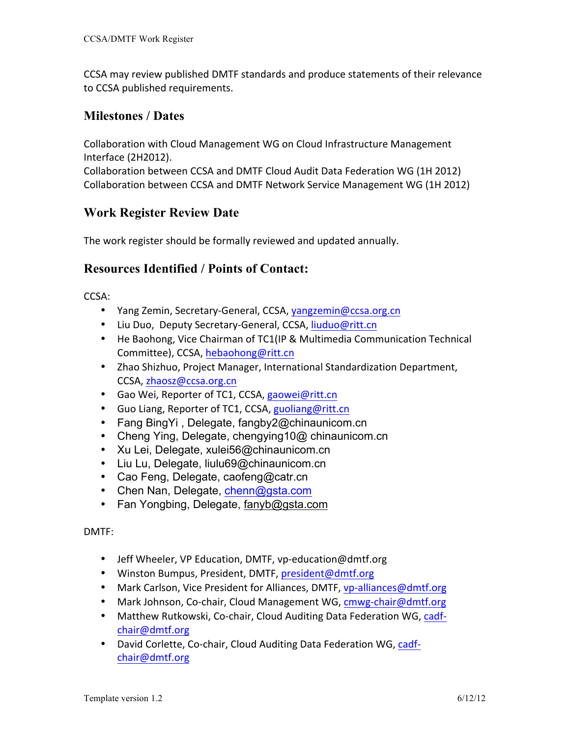CCSA may review published DMTF standards and produce statements of their relevance to CCSA published requirements.

## **Milestones / Dates**

Collaboration with Cloud Management WG on Cloud Infrastructure Management Interface (2H2012).

Collaboration between CCSA and DMTF Cloud Audit Data Federation WG (1H 2012) Collaboration between CCSA and DMTF Network Service Management WG (1H 2012)

## **Work Register Review Date**

The work register should be formally reviewed and updated annually.

#### **Resources Identified / Points of Contact:**

CCSA:

- Yang Zemin, Secretary-General, CCSA, yangzemin@ccsa.org.cn
- Liu Duo, Deputy Secretary-General, CCSA, liuduo@ritt.cn
- He Baohong, Vice Chairman of TC1(IP & Multimedia Communication Technical Committee), CCSA, hebaohong@ritt.cn
- Zhao Shizhuo, Project Manager, International Standardization Department, CCSA, zhaosz@ccsa.org.cn
- Gao Wei, Reporter of TC1, CCSA, gaowei@ritt.cn
- Guo Liang, Reporter of TC1, CCSA, guoliang@ritt.cn
- Fang BingYi , Delegate, fangby2@chinaunicom.cn
- Cheng Ying, Delegate, chengying10@ chinaunicom.cn
- Xu Lei, Delegate, xulei56@chinaunicom.cn
- Liu Lu, Delegate, liulu69@chinaunicom.cn
- Cao Feng, Delegate, caofeng@catr.cn
- Chen Nan, Delegate, chenn@gsta.com
- Fan Yongbing, Delegate, fanyb@gsta.com

DMTF:

- Jeff Wheeler, VP Education, DMTF, vp-education@dmtf.org
- Winston Bumpus, President, DMTF, president@dmtf.org
- Mark Carlson, Vice President for Alliances, DMTF, vp-alliances@dmtf.org
- Mark Johnson, Co-chair, Cloud Management WG, cmwg-chair@dmtf.org
- Matthew Rutkowski, Co-chair, Cloud Auditing Data Federation WG, cadfchair@dmtf.org
- David Corlette, Co-chair, Cloud Auditing Data Federation WG, cadfchair@dmtf.org